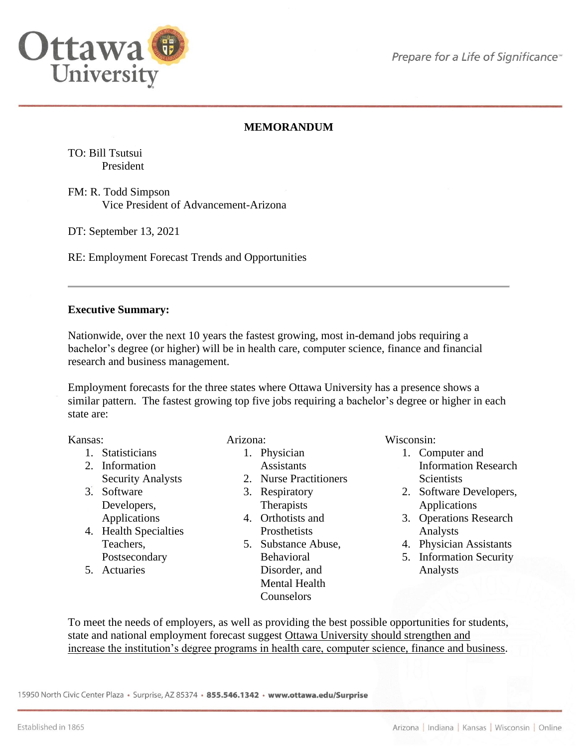

# **MEMORANDUM**

TO: Bill Tsutsui President

FM: R. Todd Simpson Vice President of Advancement-Arizona

DT: September 13, 2021

RE: Employment Forecast Trends and Opportunities

### **Executive Summary:**

Nationwide, over the next 10 years the fastest growing, most in-demand jobs requiring a bachelor's degree (or higher) will be in health care, computer science, finance and financial research and business management.

Employment forecasts for the three states where Ottawa University has a presence shows a similar pattern. The fastest growing top five jobs requiring a bachelor's degree or higher in each state are:

Kansas:

- 1. Statisticians
- 2. Information Security Analysts
- 3. Software Developers, Applications
- 4. Health Specialties Teachers, Postsecondary
- 5. Actuaries

### Arizona:

- 1. Physician
	- Assistants
- 2. Nurse Practitioners
- 3. Respiratory **Therapists**
- 4. Orthotists and Prosthetists
- 5. Substance Abuse, Behavioral Disorder, and Mental Health **Counselors**

Wisconsin:

- 1. Computer and Information Research **Scientists**
- 2. Software Developers, Applications
- 3. Operations Research Analysts
- 4. Physician Assistants
- 5. Information Security Analysts

To meet the needs of employers, as well as providing the best possible opportunities for students, state and national employment forecast suggest Ottawa University should strengthen and increase the institution's degree programs in health care, computer science, finance and business.

15950 North Civic Center Plaza · Surprise, AZ 85374 · 855.546.1342 · www.ottawa.edu/Surprise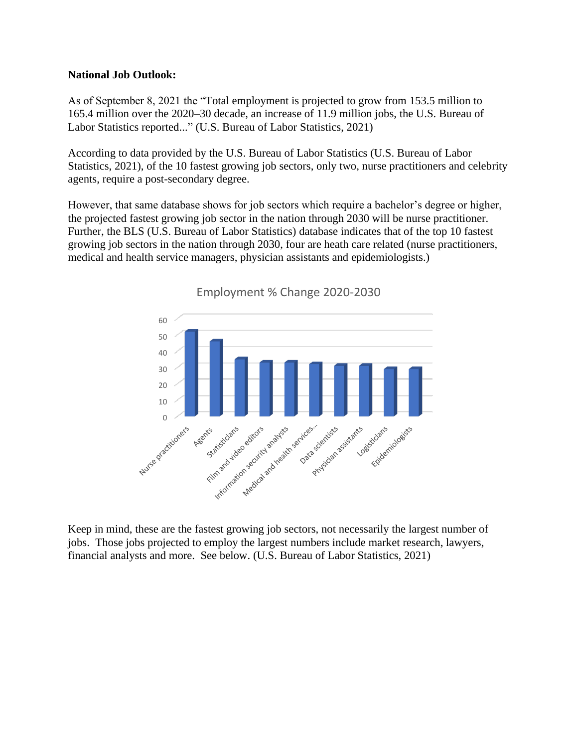### **National Job Outlook:**

As of September 8, 2021 the "Total employment is projected to grow from 153.5 million to 165.4 million over the 2020–30 decade, an increase of 11.9 million jobs, the U.S. Bureau of Labor Statistics reported..." (U.S. Bureau of Labor Statistics, 2021)

According to data provided by the U.S. Bureau of Labor Statistics (U.S. Bureau of Labor Statistics, 2021), of the 10 fastest growing job sectors, only two, nurse practitioners and celebrity agents, require a post-secondary degree.

However, that same database shows for job sectors which require a bachelor's degree or higher, the projected fastest growing job sector in the nation through 2030 will be nurse practitioner. Further, the BLS (U.S. Bureau of Labor Statistics) database indicates that of the top 10 fastest growing job sectors in the nation through 2030, four are heath care related (nurse practitioners, medical and health service managers, physician assistants and epidemiologists.)



Employment % Change 2020-2030

Keep in mind, these are the fastest growing job sectors, not necessarily the largest number of jobs. Those jobs projected to employ the largest numbers include market research, lawyers, financial analysts and more. See below. (U.S. Bureau of Labor Statistics, 2021)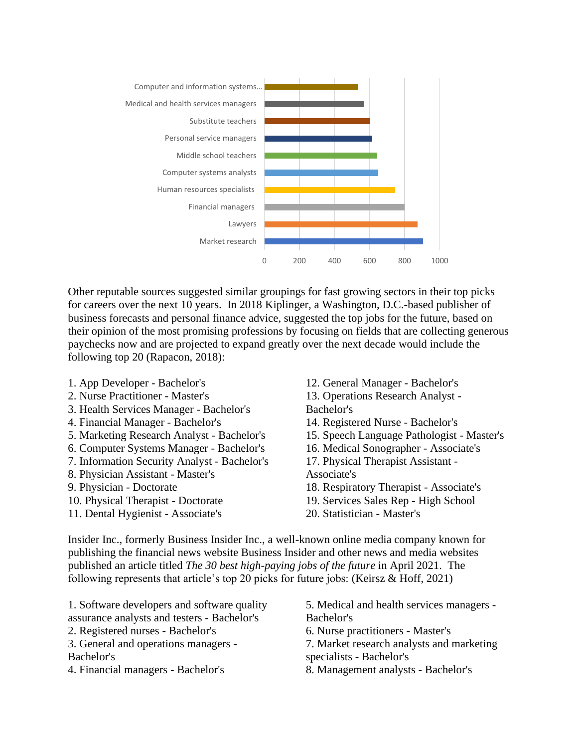

Other reputable sources suggested similar groupings for fast growing sectors in their top picks for careers over the next 10 years. In 2018 Kiplinger, a Washington, D.C.-based publisher of business forecasts and personal finance advice, suggested the top jobs for the future, based on their opinion of the most promising professions by focusing on fields that are collecting generous paychecks now and are projected to expand greatly over the next decade would include the following top 20 (Rapacon, 2018):

- 1. App Developer Bachelor's
- 2. Nurse Practitioner Master's
- 3. Health Services Manager Bachelor's
- 4. Financial Manager Bachelor's
- 5. Marketing Research Analyst Bachelor's
- 6. Computer Systems Manager Bachelor's
- 7. Information Security Analyst Bachelor's
- 8. Physician Assistant Master's
- 9. Physician Doctorate
- 10. Physical Therapist Doctorate
- 11. Dental Hygienist Associate's
- 12. General Manager Bachelor's
- 13. Operations Research Analyst Bachelor's
- 14. Registered Nurse Bachelor's
- 15. Speech Language Pathologist Master's
- 16. Medical Sonographer Associate's
- 17. Physical Therapist Assistant Associate's
- 18. Respiratory Therapist Associate's
- 19. Services Sales Rep High School
- 20. Statistician Master's

Insider Inc., formerly Business Insider Inc., a well-known online media company known for publishing the financial news website Business Insider and other news and media websites published an article titled *The 30 best high-paying jobs of the future* in April 2021. The following represents that article's top 20 picks for future jobs: (Keirsz & Hoff, 2021)

1. Software developers and software quality assurance analysts and testers - Bachelor's

- 2. Registered nurses Bachelor's
- 3. General and operations managers Bachelor's
- 4. Financial managers Bachelor's
- 5. Medical and health services managers Bachelor's
- 6. Nurse practitioners Master's
- 7. Market research analysts and marketing specialists - Bachelor's
- 8. Management analysts Bachelor's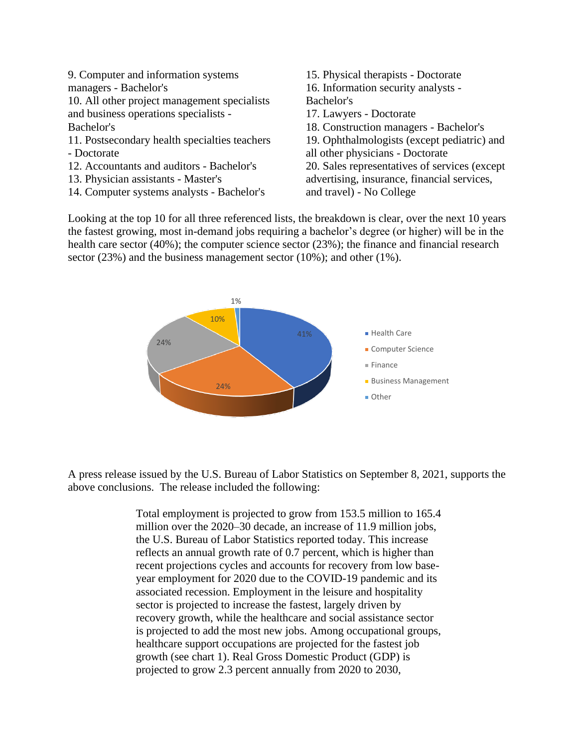9. Computer and information systems managers - Bachelor's 10. All other project management specialists and business operations specialists - Bachelor's 11. Postsecondary health specialties teachers - Doctorate 12. Accountants and auditors - Bachelor's 13. Physician assistants - Master's 14. Computer systems analysts - Bachelor's 15. Physical therapists - Doctorate 16. Information security analysts - Bachelor's 17. Lawyers - Doctorate 18. Construction managers - Bachelor's 19. Ophthalmologists (except pediatric) and all other physicians - Doctorate 20. Sales representatives of services (except advertising, insurance, financial services, and travel) - No College

Looking at the top 10 for all three referenced lists, the breakdown is clear, over the next 10 years the fastest growing, most in-demand jobs requiring a bachelor's degree (or higher) will be in the health care sector (40%); the computer science sector (23%); the finance and financial research sector (23%) and the business management sector (10%); and other (1%).



A press release issued by the U.S. Bureau of Labor Statistics on September 8, 2021, supports the above conclusions. The release included the following:

> Total employment is projected to grow from 153.5 million to 165.4 million over the 2020–30 decade, an increase of 11.9 million jobs, the U.S. Bureau of Labor Statistics reported today. This increase reflects an annual growth rate of 0.7 percent, which is higher than recent projections cycles and accounts for recovery from low baseyear employment for 2020 due to the COVID-19 pandemic and its associated recession. Employment in the leisure and hospitality sector is projected to increase the fastest, largely driven by recovery growth, while the healthcare and social assistance sector is projected to add the most new jobs. Among occupational groups, healthcare support occupations are projected for the fastest job growth (see chart 1). Real Gross Domestic Product (GDP) is projected to grow 2.3 percent annually from 2020 to 2030,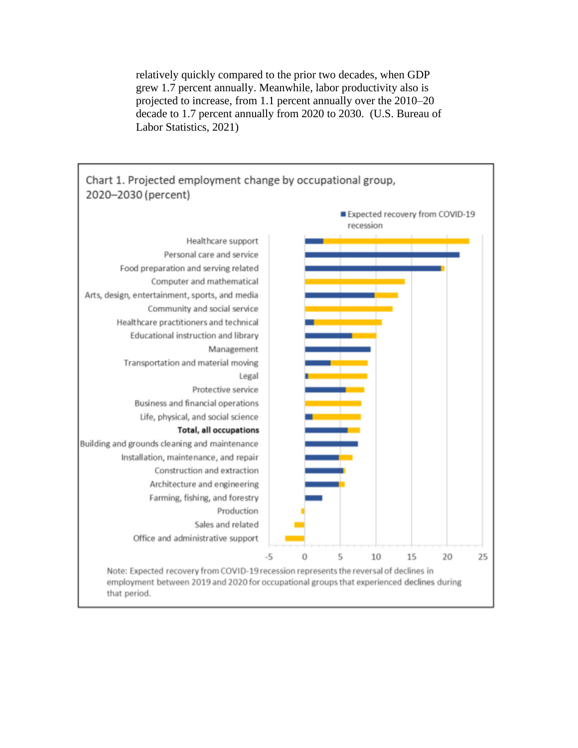relatively quickly compared to the prior two decades, when GDP grew 1.7 percent annually. Meanwhile, labor productivity also is projected to increase, from 1.1 percent annually over the 2010–20 decade to 1.7 percent annually from 2020 to 2030. (U.S. Bureau of Labor Statistics, 2021)

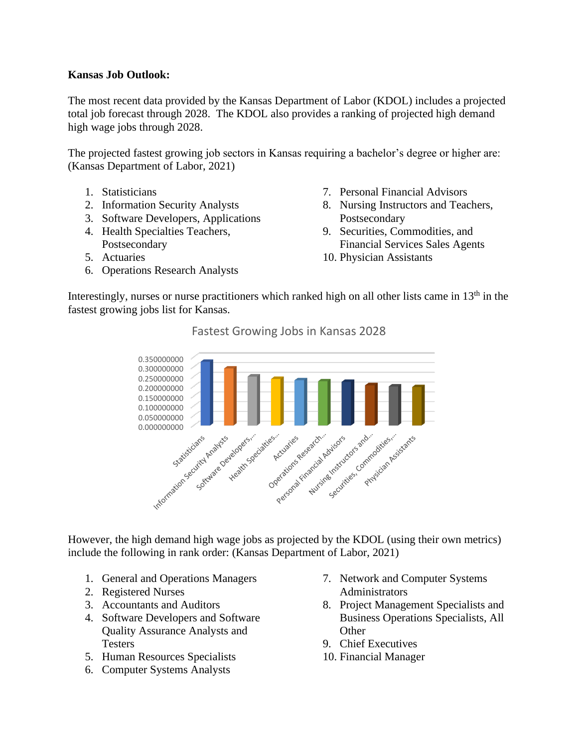## **Kansas Job Outlook:**

The most recent data provided by the Kansas Department of Labor (KDOL) includes a projected total job forecast through 2028. The KDOL also provides a ranking of projected high demand high wage jobs through 2028.

The projected fastest growing job sectors in Kansas requiring a bachelor's degree or higher are: (Kansas Department of Labor, 2021)

- 1. Statisticians
- 2. Information Security Analysts
- 3. Software Developers, Applications
- 4. Health Specialties Teachers, Postsecondary
- 5. Actuaries
- 6. Operations Research Analysts
- 7. Personal Financial Advisors
- 8. Nursing Instructors and Teachers, Postsecondary
- 9. Securities, Commodities, and Financial Services Sales Agents
- 10. Physician Assistants

Interestingly, nurses or nurse practitioners which ranked high on all other lists came in 13<sup>th</sup> in the fastest growing jobs list for Kansas.



Fastest Growing Jobs in Kansas 2028

However, the high demand high wage jobs as projected by the KDOL (using their own metrics) include the following in rank order: (Kansas Department of Labor, 2021)

- 1. General and Operations Managers
- 2. Registered Nurses
- 3. Accountants and Auditors
- 4. Software Developers and Software Quality Assurance Analysts and **Testers**
- 5. Human Resources Specialists
- 6. Computer Systems Analysts
- 7. Network and Computer Systems Administrators
- 8. Project Management Specialists and Business Operations Specialists, All **Other**
- 9. Chief Executives
- 10. Financial Manager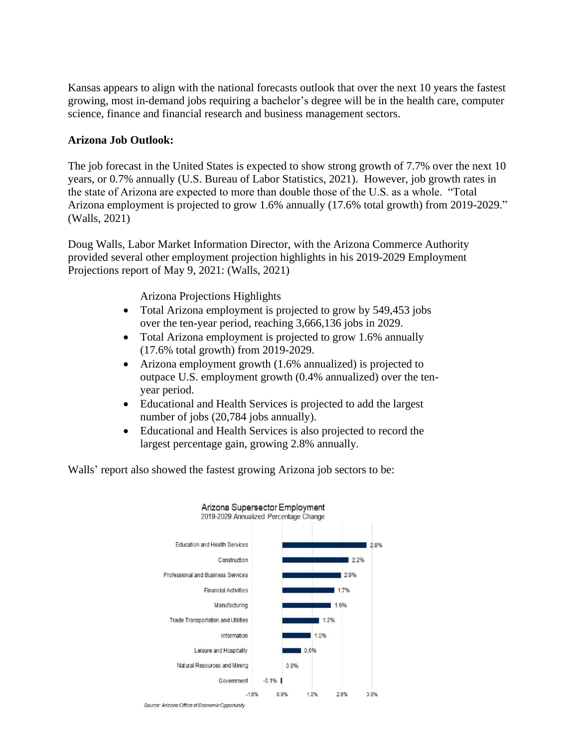Kansas appears to align with the national forecasts outlook that over the next 10 years the fastest growing, most in-demand jobs requiring a bachelor's degree will be in the health care, computer science, finance and financial research and business management sectors.

### **Arizona Job Outlook:**

The job forecast in the United States is expected to show strong growth of 7.7% over the next 10 years, or 0.7% annually (U.S. Bureau of Labor Statistics, 2021). However, job growth rates in the state of Arizona are expected to more than double those of the U.S. as a whole. "Total Arizona employment is projected to grow 1.6% annually (17.6% total growth) from 2019-2029." (Walls, 2021)

Doug Walls, Labor Market Information Director, with the Arizona Commerce Authority provided several other employment projection highlights in his 2019-2029 Employment Projections report of May 9, 2021: (Walls, 2021)

Arizona Projections Highlights

- Total Arizona employment is projected to grow by 549,453 jobs over the ten-year period, reaching 3,666,136 jobs in 2029.
- Total Arizona employment is projected to grow 1.6% annually (17.6% total growth) from 2019-2029.
- Arizona employment growth (1.6% annualized) is projected to outpace U.S. employment growth (0.4% annualized) over the tenyear period.
- Educational and Health Services is projected to add the largest number of jobs (20,784 jobs annually).
- Educational and Health Services is also projected to record the largest percentage gain, growing 2.8% annually.

Walls' report also showed the fastest growing Arizona job sectors to be:



Source: Arizona Office of Economic Opportunity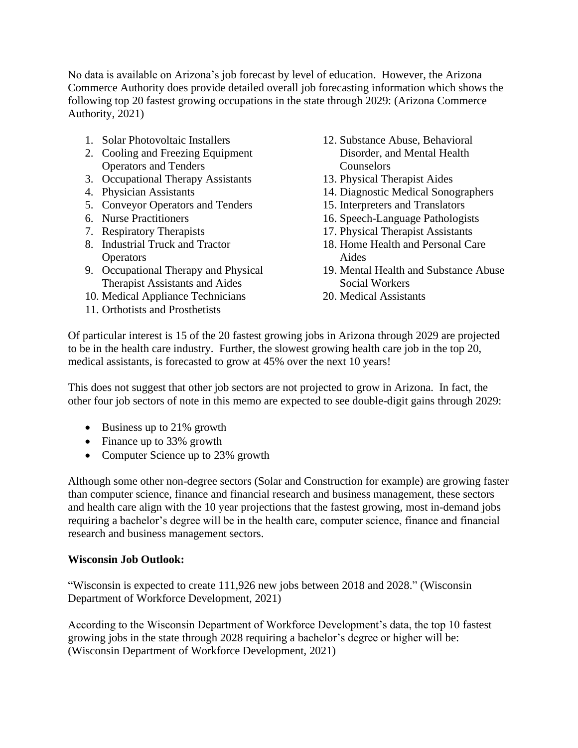No data is available on Arizona's job forecast by level of education. However, the Arizona Commerce Authority does provide detailed overall job forecasting information which shows the following top 20 fastest growing occupations in the state through 2029: (Arizona Commerce Authority, 2021)

- 1. Solar Photovoltaic Installers
- 2. Cooling and Freezing Equipment Operators and Tenders
- 3. Occupational Therapy Assistants
- 4. Physician Assistants
- 5. Conveyor Operators and Tenders
- 6. Nurse Practitioners
- 7. Respiratory Therapists
- 8. Industrial Truck and Tractor **Operators**
- 9. Occupational Therapy and Physical Therapist Assistants and Aides
- 10. Medical Appliance Technicians
- 11. Orthotists and Prosthetists
- 12. Substance Abuse, Behavioral Disorder, and Mental Health Counselors
- 13. Physical Therapist Aides
- 14. Diagnostic Medical Sonographers
- 15. Interpreters and Translators
- 16. Speech-Language Pathologists
- 17. Physical Therapist Assistants
- 18. Home Health and Personal Care Aides
- 19. Mental Health and Substance Abuse Social Workers
- 20. Medical Assistants

Of particular interest is 15 of the 20 fastest growing jobs in Arizona through 2029 are projected to be in the health care industry. Further, the slowest growing health care job in the top 20, medical assistants, is forecasted to grow at 45% over the next 10 years!

This does not suggest that other job sectors are not projected to grow in Arizona. In fact, the other four job sectors of note in this memo are expected to see double-digit gains through 2029:

- Business up to 21% growth
- Finance up to 33% growth
- Computer Science up to 23% growth

Although some other non-degree sectors (Solar and Construction for example) are growing faster than computer science, finance and financial research and business management, these sectors and health care align with the 10 year projections that the fastest growing, most in-demand jobs requiring a bachelor's degree will be in the health care, computer science, finance and financial research and business management sectors.

### **Wisconsin Job Outlook:**

"Wisconsin is expected to create 111,926 new jobs between 2018 and 2028." (Wisconsin Department of Workforce Development, 2021)

According to the Wisconsin Department of Workforce Development's data, the top 10 fastest growing jobs in the state through 2028 requiring a bachelor's degree or higher will be: (Wisconsin Department of Workforce Development, 2021)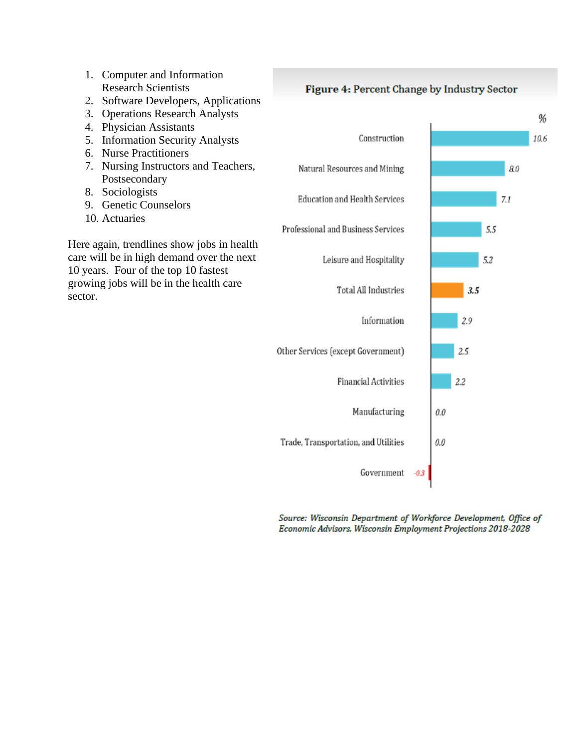

Source: Wisconsin Department of Workforce Development, Office of Economic Advisors, Wisconsin Employment Projections 2018-2028